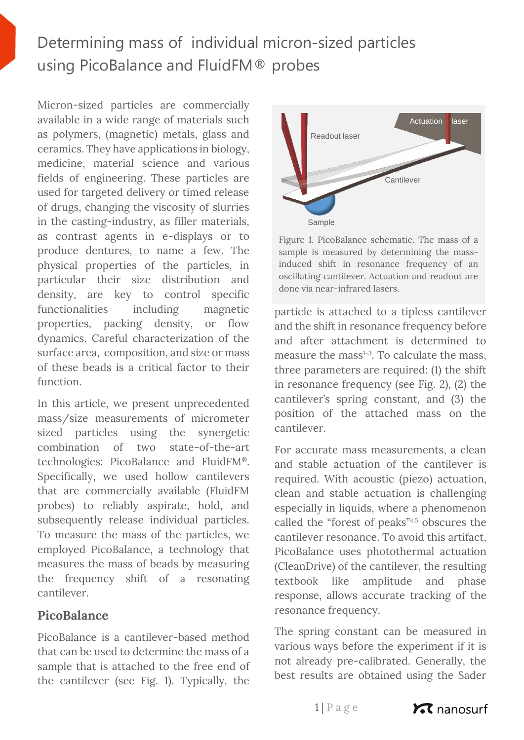# Determining mass of individual micron-sized particles using PicoBalance and FluidFM® probes

Micron-sized particles are commercially available in a wide range of materials such as polymers, (magnetic) metals, glass and ceramics. They have applications in biology, medicine, material science and various fields of engineering. These particles are used for targeted delivery or timed release of drugs, changing the viscosity of slurries in the casting-industry, as filler materials, as contrast agents in e-displays or to produce dentures, to name a few. The physical properties of the particles, in particular their size distribution and density, are key to control specific functionalities including magnetic properties, packing density, or flow dynamics. Careful characterization of the surface area, composition, and size or mass of these beads is a critical factor to their function.

In this article, we present unprecedented mass/size measurements of micrometer sized particles using the synergetic combination of two state-of-the-art technologies: PicoBalance and FluidFM®. Specifically, we used hollow cantilevers that are commercially available (FluidFM probes) to reliably aspirate, hold, and subsequently release individual particles. To measure the mass of the particles, we employed PicoBalance, a technology that measures the mass of beads by measuring the frequency shift of a resonating cantilever.

## **PicoBalance**

PicoBalance is a cantilever-based method that can be used to determine the mass of a sample that is attached to the free end of the cantilever (see Fig. 1). Typically, the



Figure 1. PicoBalance schematic. The mass of a sample is measured by determining the massinduced shift in resonance frequency of an oscillating cantilever. Actuation and readout are done via near-infrared lasers.

particle is attached to a tipless cantilever and the shift in resonance frequency before and after attachment is determined to measure the mass $1-3$ . To calculate the mass, three parameters are required: (1) the shift in resonance frequency (see Fig. 2), (2) the cantilever's spring constant, and (3) the position of the attached mass on the cantilever.

For accurate mass measurements, a clean and stable actuation of the cantilever is required. With acoustic (piezo) actuation, clean and stable actuation is challenging especially in liquids, where a phenomenon called the "forest of peaks"4,5 obscures the cantilever resonance. To avoid this artifact, PicoBalance uses photothermal actuation (CleanDrive) of the cantilever, the resulting textbook like amplitude and phase response, allows accurate tracking of the resonance frequency.

The spring constant can be measured in various ways before the experiment if it is not already pre-calibrated. Generally, the best results are obtained using the Sader

 $1 | P a g e$ 

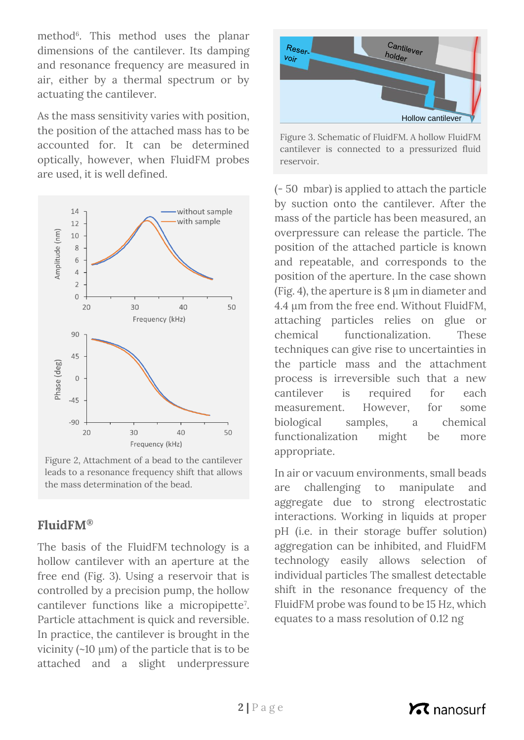method<sup>6</sup>. This method uses the planar dimensions of the cantilever. Its damping and resonance frequency are measured in air, either by a thermal spectrum or by actuating the cantilever.

As the mass sensitivity varies with position, the position of the attached mass has to be accounted for. It can be determined optically, however, when FluidFM probes are used, it is well defined.



Figure 2, Attachment of a bead to the cantilever leads to a resonance frequency shift that allows the mass determination of the bead.

## **FluidFM®**

The basis of the FluidFM technology is a hollow cantilever with an aperture at the free end (Fig. 3). Using a reservoir that is controlled by a precision pump, the hollow cantilever functions like a micropipette<sup>7</sup> . Particle attachment is quick and reversible. In practice, the cantilever is brought in the vicinity  $(\sim 10 \mu m)$  of the particle that is to be attached and a slight underpressure



Figure 3. Schematic of FluidFM. A hollow FluidFM cantilever is connected to a pressurized fluid reservoir.

(- 50 mbar) is applied to attach the particle by suction onto the cantilever. After the mass of the particle has been measured, an overpressure can release the particle. The position of the attached particle is known and repeatable, and corresponds to the position of the aperture. In the case shown (Fig. 4), the aperture is 8 µm in diameter and 4.4 µm from the free end. Without FluidFM, attaching particles relies on glue or chemical functionalization. These techniques can give rise to uncertainties in the particle mass and the attachment process is irreversible such that a new cantilever is required for each measurement. However, for some biological samples, a chemical functionalization might be more appropriate.

In air or vacuum environments, small beads are challenging to manipulate and aggregate due to strong electrostatic interactions. Working in liquids at proper pH (i.e. in their storage buffer solution) aggregation can be inhibited, and FluidFM technology easily allows selection of individual particles The smallest detectable shift in the resonance frequency of the FluidFM probe was found to be 15 Hz, which equates to a mass resolution of 0.12 ng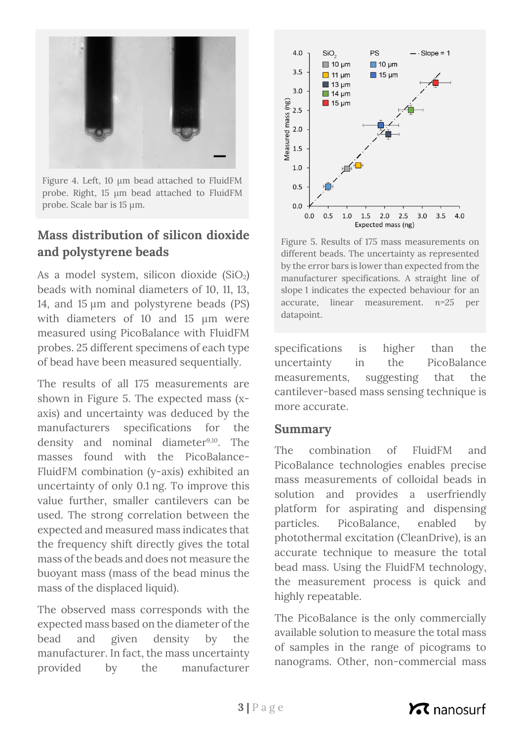

Figure 4. Left, 10 µm bead attached to FluidFM probe. Right, 15 µm bead attached to FluidFM probe. Scale bar is 15 µm.

# **Mass distribution of silicon dioxide and polystyrene beads**

As a model system, silicon dioxide  $(SiO<sub>2</sub>)$ beads with nominal diameters of 10, 11, 13, 14, and 15 µm and polystyrene beads (PS) with diameters of 10 and 15 µm were measured using PicoBalance with FluidFM probes. 25 different specimens of each type of bead have been measured sequentially.

The results of all 175 measurements are shown in Figure 5. The expected mass (xaxis) and uncertainty was deduced by the manufacturers specifications for the density and nominal diameter<sup>9,10</sup>. The masses found with the PicoBalance-FluidFM combination (y-axis) exhibited an uncertainty of only 0.1 ng. To improve this value further, smaller cantilevers can be used. The strong correlation between the expected and measured mass indicates that the frequency shift directly gives the total mass of the beads and does not measure the buoyant mass (mass of the bead minus the mass of the displaced liquid).

The observed mass corresponds with the expected mass based on the diameter of the bead and given density by the manufacturer. In fact, the mass uncertainty provided by the manufacturer



Figure 5. Results of 175 mass measurements on different beads. The uncertainty as represented by the error bars is lower than expected from the manufacturer specifications. A straight line of slope 1 indicates the expected behaviour for an accurate, linear measurement. *n=25* per datapoint.

specifications is higher than the uncertainty in the PicoBalance measurements, suggesting that the cantilever-based mass sensing technique is more accurate.

### **Summary**

The combination of FluidFM and PicoBalance technologies enables precise mass measurements of colloidal beads in solution and provides a userfriendly platform for aspirating and dispensing particles. PicoBalance, enabled by photothermal excitation (CleanDrive), is an accurate technique to measure the total bead mass. Using the FluidFM technology, the measurement process is quick and highly repeatable.

The PicoBalance is the only commercially available solution to measure the total mass of samples in the range of picograms to nanograms. Other, non-commercial mass